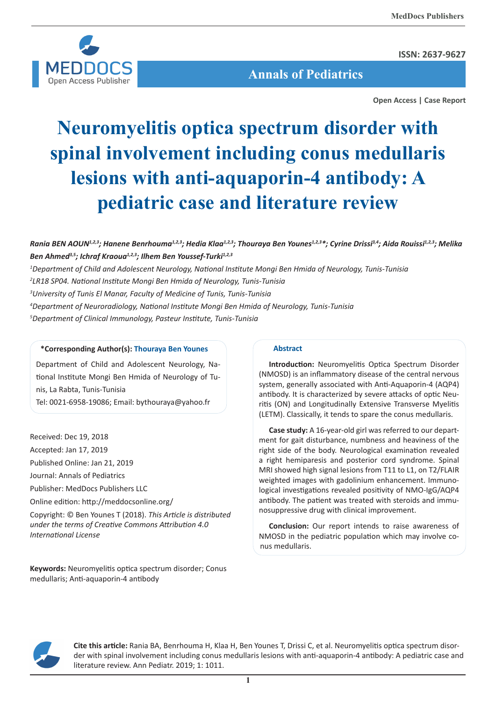

**ISSN: 2637-9627**

 **Annals of Pediatrics**

**Open Access | Case Report**

# **Neuromyelitis optica spectrum disorder with spinal involvement including conus medullaris lesions with anti-aquaporin-4 antibody: A pediatric case and literature review**

# *Rania BEN AOUN1,2,3; Hanene Benrhouma1,2,3; Hedia Klaa1,2,3; Thouraya Ben Younes1,2,3\*; Cyrine Drissi3,4; Aida Rouissi1,2,3; Melika Ben Ahmed3,5; Ichraf Kraoua1,2,3; Ilhem Ben Youssef-Turki1,2,3*

 *Department of Child and Adolescent Neurology, National Institute Mongi Ben Hmida of Neurology, Tunis-Tunisia LR18 SP04. National Institute Mongi Ben Hmida of Neurology, Tunis-Tunisia University of Tunis El Manar, Faculty of Medicine of Tunis, Tunis-Tunisia Department of Neuroradiology, National Institute Mongi Ben Hmida of Neurology, Tunis-Tunisia Department of Clinical Immunology, Pasteur Institute, Tunis-Tunisia*

# **\*Corresponding Author(s): Thouraya Ben Younes**

Department of Child and Adolescent Neurology, National Institute Mongi Ben Hmida of Neurology of Tunis, La Rabta, Tunis-Tunisia Tel: 0021-6958-19086; Email: bythouraya@yahoo.fr

Received: Dec 19, 2018 Accepted: Jan 17, 2019 Published Online: Jan 21, 2019 Journal: Annals of Pediatrics Publisher: MedDocs Publishers LLC Online edition: http://meddocsonline.org/ Copyright: © Ben Younes T (2018). *This Article is distributed under the terms of Creative Commons Attribution 4.0 International License*

**Keywords:** Neuromyelitis optica spectrum disorder; Conus medullaris; Anti-aquaporin-4 antibody

# **Abstract**

**Introduction:** Neuromyelitis Optica Spectrum Disorder (NMOSD) is an inflammatory disease of the central nervous system, generally associated with Anti-Aquaporin-4 (AQP4) antibody. It is characterized by severe attacks of optic Neuritis (ON) and Longitudinally Extensive Transverse Myelitis (LETM). Classically, it tends to spare the conus medullaris.

**Case study:** A 16-year-old girl was referred to our department for gait disturbance, numbness and heaviness of the right side of the body. Neurological examination revealed a right hemiparesis and posterior cord syndrome. Spinal MRI showed high signal lesions from T11 to L1, on T2/FLAIR weighted images with gadolinium enhancement. Immunological investigations revealed positivity of NMO-IgG/AQP4 antibody. The patient was treated with steroids and immunosuppressive drug with clinical improvement.

**Conclusion:** Our report intends to raise awareness of NMOSD in the pediatric population which may involve conus medullaris.



**Cite this article:** Rania BA, Benrhouma H, Klaa H, Ben Younes T, Drissi C, et al. Neuromyelitis optica spectrum disorder with spinal involvement including conus medullaris lesions with anti-aquaporin-4 antibody: A pediatric case and literature review. Ann Pediatr. 2019; 1: 1011.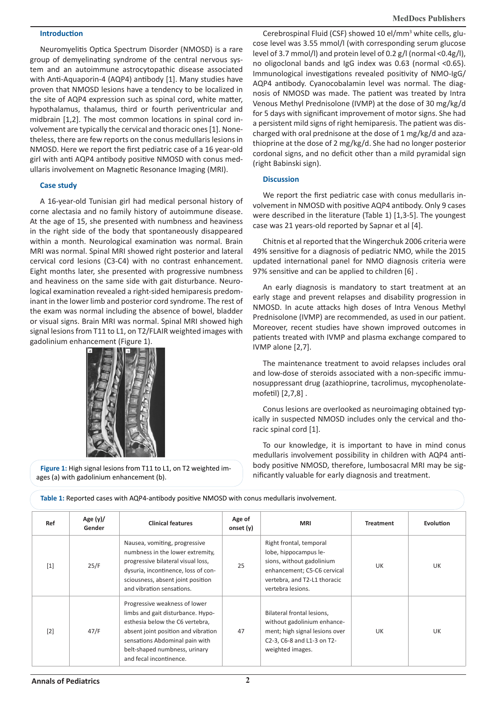**MedDocs Publishers**

# **Introduction**

Neuromyelitis Optica Spectrum Disorder (NMOSD) is a rare group of demyelinating syndrome of the central nervous system and an autoimmune astrocytopathic disease associated with Anti-Aquaporin-4 (AQP4) antibody [1]. Many studies have proven that NMOSD lesions have a tendency to be localized in the site of AQP4 expression such as spinal cord, white matter, hypothalamus, thalamus, third or fourth periventricular and midbrain [1,2]. The most common locations in spinal cord involvement are typically the cervical and thoracic ones [1]. Nonetheless, there are few reports on the conus medullaris lesions in NMOSD. Here we report the first pediatric case of a 16 year-old girl with anti AQP4 antibody positive NMOSD with conus medullaris involvement on Magnetic Resonance Imaging (MRI).

# **Case study**

A 16-year-old Tunisian girl had medical personal history of corne alectasia and no family history of autoimmune disease. At the age of 15, she presented with numbness and heaviness in the right side of the body that spontaneously disappeared within a month. Neurological examination was normal. Brain MRI was normal. Spinal MRI showed right posterior and lateral cervical cord lesions (C3-C4) with no contrast enhancement. Eight months later, she presented with progressive numbness and heaviness on the same side with gait disturbance. Neurological examination revealed a right-sided hemiparesis predominant in the lower limb and posterior cord syndrome. The rest of the exam was normal including the absence of bowel, bladder or visual signs. Brain MRI was normal. Spinal MRI showed high signal lesions from T11 to L1, on T2/FLAIR weighted images with gadolinium enhancement (Figure 1).



**Figure 1:** High signal lesions from T11 to L1, on T2 weighted images (a) with gadolinium enhancement (b).

Cerebrospinal Fluid (CSF) showed 10 el/mm<sup>3</sup> white cells, glucose level was 3.55 mmol/l (with corresponding serum glucose level of 3.7 mmol/l) and protein level of 0.2 g/l (normal <0.4g/l), no oligoclonal bands and IgG index was 0.63 (normal <0.65). Immunological investigations revealed positivity of NMO-IgG/ AQP4 antibody. Cyanocobalamin level was normal. The diagnosis of NMOSD was made. The patient was treated by Intra Venous Methyl Prednisolone (IVMP) at the dose of 30 mg/kg/d for 5 days with significant improvement of motor signs. She had a persistent mild signs of right hemiparesis. The patient was discharged with oral prednisone at the dose of 1 mg/kg/d and azathioprine at the dose of 2 mg/kg/d. She had no longer posterior cordonal signs, and no deficit other than a mild pyramidal sign (right Babinski sign).

## **Discussion**

We report the first pediatric case with conus medullaris involvement in NMOSD with positive AQP4 antibody. Only 9 cases were described in the literature (Table 1) [1,3-5]. The youngest case was 21 years-old reported by Sapnar et al [4].

Chitnis et al reported that the Wingerchuk 2006 criteria were 49% sensitive for a diagnosis of pediatric NMO, while the 2015 updated international panel for NMO diagnosis criteria were 97% sensitive and can be applied to children [6] .

An early diagnosis is mandatory to start treatment at an early stage and prevent relapses and disability progression in NMOSD. In acute attacks high doses of Intra Venous Methyl Prednisolone (IVMP) are recommended, as used in our patient. Moreover, recent studies have shown improved outcomes in patients treated with IVMP and plasma exchange compared to IVMP alone [2,7].

The maintenance treatment to avoid relapses includes oral and low-dose of steroids associated with a non-specific immunosuppressant drug (azathioprine, tacrolimus, mycophenolatemofetil) [2,7,8] .

Conus lesions are overlooked as neuroimaging obtained typically in suspected NMOSD includes only the cervical and thoracic spinal cord [1].

To our knowledge, it is important to have in mind conus medullaris involvement possibility in children with AQP4 antibody positive NMOSD, therefore, lumbosacral MRI may be significantly valuable for early diagnosis and treatment.

| Ref               | Age $(y)/$<br>Gender | <b>Clinical features</b>                                                                                                                                                                                                                   | Age of<br>onset $(y)$ | <b>MRI</b>                                                                                                                                                        | <b>Treatment</b> | Evolution |
|-------------------|----------------------|--------------------------------------------------------------------------------------------------------------------------------------------------------------------------------------------------------------------------------------------|-----------------------|-------------------------------------------------------------------------------------------------------------------------------------------------------------------|------------------|-----------|
| $\lceil 1 \rceil$ | 25/F                 | Nausea, vomiting, progressive<br>numbness in the lower extremity,<br>progressive bilateral visual loss,<br>dysuria, incontinence, loss of con-<br>sciousness, absent joint position<br>and vibration sensations.                           | 25                    | Right frontal, temporal<br>lobe, hippocampus le-<br>sions, without gadolinium<br>enhancement; C5-C6 cervical<br>vertebra, and T2-L1 thoracic<br>vertebra lesions. | UK               | UK        |
| $\lceil 2 \rceil$ | 47/F                 | Progressive weakness of lower<br>limbs and gait disturbance. Hypo-<br>esthesia below the C6 vertebra,<br>absent joint position and vibration<br>sensations Abdominal pain with<br>belt-shaped numbness, urinary<br>and fecal incontinence. | 47                    | Bilateral frontal lesions,<br>without gadolinium enhance-<br>ment; high signal lesions over<br>C2-3, C6-8 and L1-3 on T2-<br>weighted images.                     | UK               | UK        |

**Table 1:** Reported cases with AQP4-antibody positive NMOSD with conus medullaris involvement.